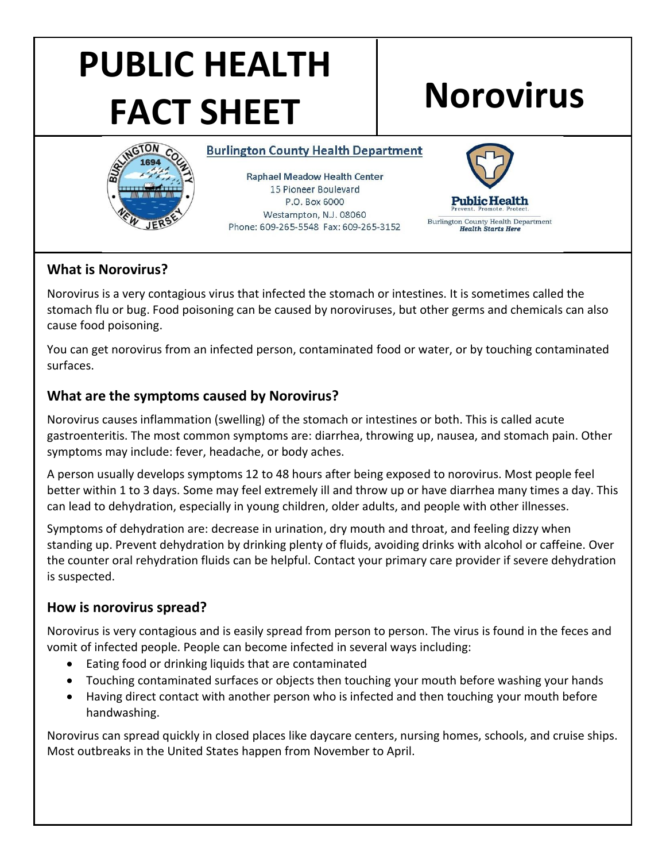# **PUBLIC HEALTH FACT SHEET Norovirus**



**Burlington County Health Department** 

**Raphael Meadow Health Center** 15 Pioneer Boulevard P.O. Box 6000 Westampton, N.J. 08060 Phone: 609-265-5548 Fax: 609-265-3152



# **What is Norovirus?**

Norovirus is a very contagious virus that infected the stomach or intestines. It is sometimes called the stomach flu or bug. Food poisoning can be caused by noroviruses, but other germs and chemicals can also cause food poisoning.

You can get norovirus from an infected person, contaminated food or water, or by touching contaminated surfaces.

# **What are the symptoms caused by Norovirus?**

Norovirus causes inflammation (swelling) of the stomach or intestines or both. This is called acute gastroenteritis. The most common symptoms are: diarrhea, throwing up, nausea, and stomach pain. Other symptoms may include: fever, headache, or body aches.

A person usually develops symptoms 12 to 48 hours after being exposed to norovirus. Most people feel better within 1 to 3 days. Some may feel extremely ill and throw up or have diarrhea many times a day. This can lead to dehydration, especially in young children, older adults, and people with other illnesses.

Symptoms of dehydration are: decrease in urination, dry mouth and throat, and feeling dizzy when standing up. Prevent dehydration by drinking plenty of fluids, avoiding drinks with alcohol or caffeine. Over the counter oral rehydration fluids can be helpful. Contact your primary care provider if severe dehydration is suspected.

## **How is norovirus spread?**

Norovirus is very contagious and is easily spread from person to person. The virus is found in the feces and vomit of infected people. People can become infected in several ways including:

- Eating food or drinking liquids that are contaminated
- Touching contaminated surfaces or objects then touching your mouth before washing your hands
- Having direct contact with another person who is infected and then touching your mouth before handwashing.

Norovirus can spread quickly in closed places like daycare centers, nursing homes, schools, and cruise ships. Most outbreaks in the United States happen from November to April.